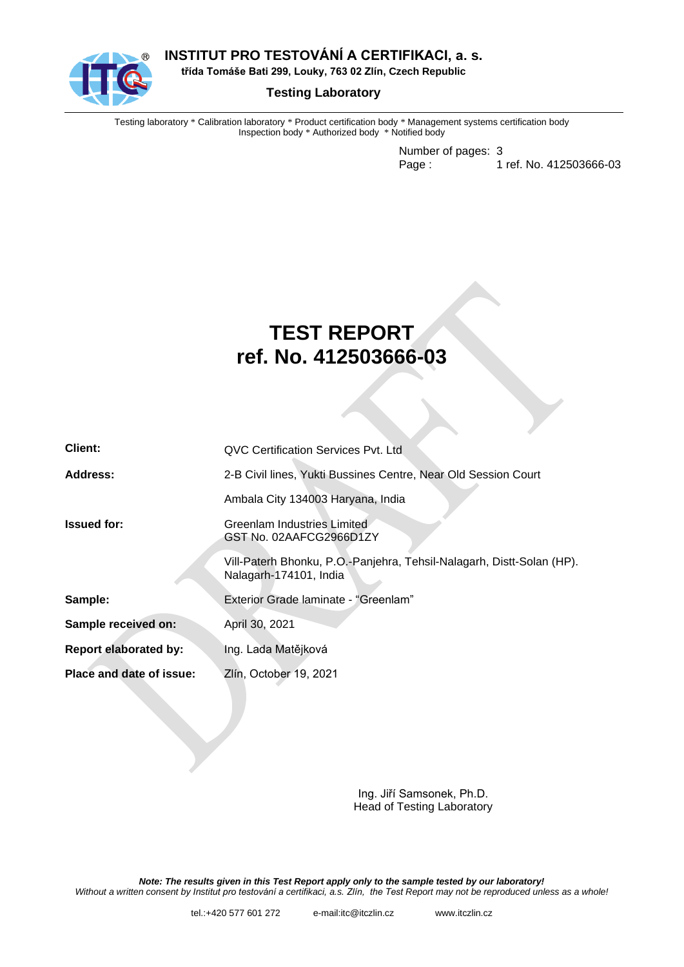

**INSTITUT PRO TESTOVÁNÍ A CERTIFIKACI, a. s.**

**třída Tomáše Bati 299, Louky, 763 02 Zlín, Czech Republic**

## **Testing Laboratory**

Testing laboratory \* Calibration laboratory \* Product certification body \* Management systems certification body Inspection body \* Authorized body \* Notified body

> Number of pages: 3 Page : 1 ref. No. 412503666-03

# **TEST REPORT ref. No. 412503666-03**

| Client:                      | QVC Certification Services Pvt. Ltd                                                             |  |  |
|------------------------------|-------------------------------------------------------------------------------------------------|--|--|
| Address:                     | 2-B Civil lines, Yukti Bussines Centre, Near Old Session Court                                  |  |  |
|                              | Ambala City 134003 Haryana, India                                                               |  |  |
| <b>Issued for:</b>           | Greenlam Industries Limited<br>GST No. 02AAFCG2966D1ZY                                          |  |  |
|                              | Vill-Paterh Bhonku, P.O.-Panjehra, Tehsil-Nalagarh, Distt-Solan (HP).<br>Nalagarh-174101, India |  |  |
| Sample:                      | Exterior Grade laminate - "Greenlam"                                                            |  |  |
| Sample received on:          | April 30, 2021                                                                                  |  |  |
| <b>Report elaborated by:</b> | Ing. Lada Matějková                                                                             |  |  |
| Place and date of issue:     | Zlín, October 19, 2021                                                                          |  |  |

Ing. Jiří Samsonek, Ph.D. Head of Testing Laboratory

*Note: The results given in this Test Report apply only to the sample tested by our laboratory! Without a written consent by Institut pro testování a certifikaci, a.s. Zlín, the Test Report may not be reproduced unless as a whole!*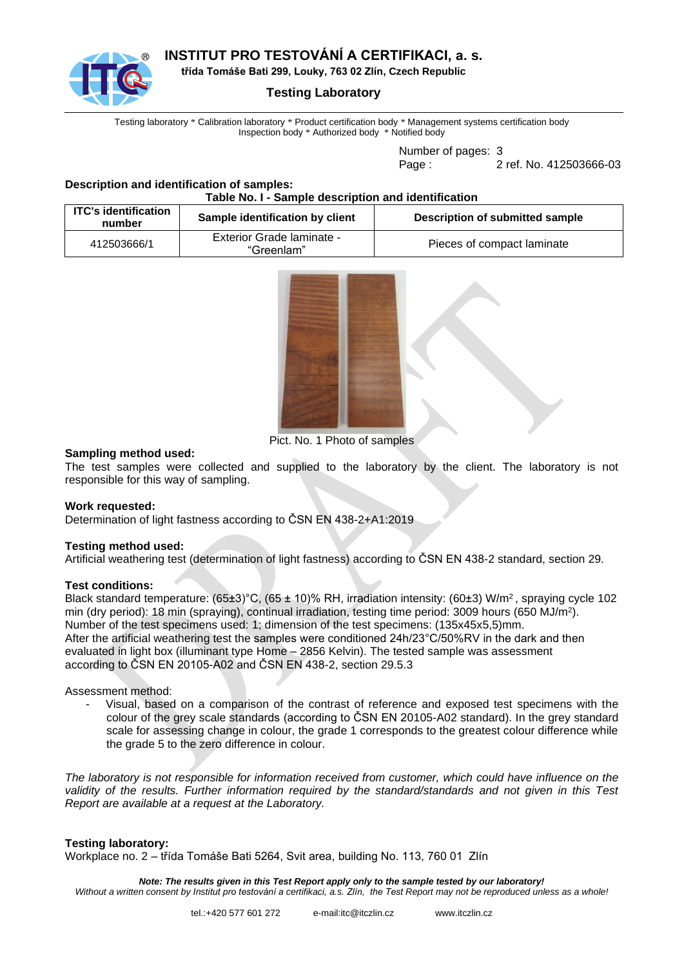

# **INSTITUT PRO TESTOVÁNÍ A CERTIFIKACI, a. s.**

**třída Tomáše Bati 299, Louky, 763 02 Zlín, Czech Republic**

## **Testing Laboratory**

Testing laboratory \* Calibration laboratory \* Product certification body \* Management systems certification body Inspection body \* Authorized body \* Notified body

Number of pages: 3

Page : 2 ref. No. 412503666-03

#### **Description and identification of samples: Table No. I - Sample description and identification**

| <b>ITC's identification</b><br>number | Sample identification by client         | Description of submitted sample |
|---------------------------------------|-----------------------------------------|---------------------------------|
| 412503666/1                           | Exterior Grade laminate -<br>"Greenlam" | Pieces of compact laminate      |



Pict. No. 1 Photo of samples

#### **Sampling method used:**

The test samples were collected and supplied to the laboratory by the client. The laboratory is not responsible for this way of sampling.

## **Work requested:**

Determination of light fastness according to ČSN EN 438-2+A1:2019

#### **Testing method used:**

Artificial weathering test (determination of light fastness) according to ČSN EN 438-2 standard, section 29.

#### **Test conditions:**

Black standard temperature: (65±3)°C, (65 ± 10)% RH, irradiation intensity: (60±3) W/m<sup>2</sup>, spraying cycle 102 min (dry period): 18 min (spraying), continual irradiation, testing time period: 3009 hours (650 MJ/m<sup>2</sup>). Number of the test specimens used: 1; dimension of the test specimens: (135x45x5,5)mm. After the artificial weathering test the samples were conditioned 24h/23°C/50%RV in the dark and then evaluated in light box (illuminant type Home – 2856 Kelvin). The tested sample was assessment according to ČSN EN 20105-A02 and ČSN EN 438-2, section 29.5.3

#### Assessment method:

- Visual, based on a comparison of the contrast of reference and exposed test specimens with the colour of the grey scale standards (according to ČSN EN 20105-A02 standard). In the grey standard scale for assessing change in colour, the grade 1 corresponds to the greatest colour difference while the grade 5 to the zero difference in colour.

*The laboratory is not responsible for information received from customer, which could have influence on the validity of the results. Further information required by the standard/standards and not given in this Test Report are available at a request at the Laboratory.*

## **Testing laboratory:**

Workplace no. 2 – třída Tomáše Bati 5264, Svit area, building No. 113, 760 01 Zlín

*Note: The results given in this Test Report apply only to the sample tested by our laboratory! Without a written consent by Institut pro testování a certifikaci, a.s. Zlín, the Test Report may not be reproduced unless as a whole!*